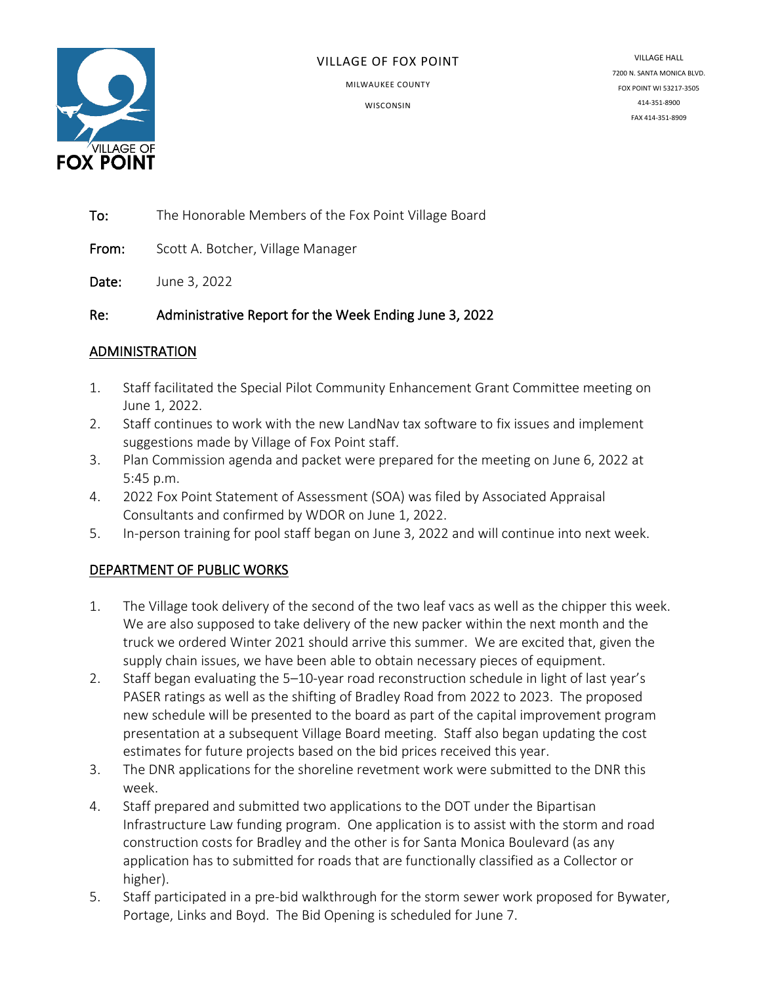

#### VILLAGE OF FOX POINT

MILWAUKEE COUNTY

**WISCONSIN** 

VILLAGE HALL 7200 N. SANTA MONICA BLVD. FOX POINT WI 53217-3505 414-351-8900 FAX 414-351-8909

To: The Honorable Members of the Fox Point Village Board

From: Scott A. Botcher, Village Manager

Date: June 3, 2022

Re: Administrative Report for the Week Ending June 3, 2022

#### ADMINISTRATION

- 1. Staff facilitated the Special Pilot Community Enhancement Grant Committee meeting on June 1, 2022.
- 2. Staff continues to work with the new LandNav tax software to fix issues and implement suggestions made by Village of Fox Point staff.
- 3. Plan Commission agenda and packet were prepared for the meeting on June 6, 2022 at 5:45 p.m.
- 4. 2022 Fox Point Statement of Assessment (SOA) was filed by Associated Appraisal Consultants and confirmed by WDOR on June 1, 2022.
- 5. In-person training for pool staff began on June 3, 2022 and will continue into next week.

## DEPARTMENT OF PUBLIC WORKS

- 1. The Village took delivery of the second of the two leaf vacs as well as the chipper this week. We are also supposed to take delivery of the new packer within the next month and the truck we ordered Winter 2021 should arrive this summer. We are excited that, given the supply chain issues, we have been able to obtain necessary pieces of equipment.
- 2. Staff began evaluating the 5–10-year road reconstruction schedule in light of last year's PASER ratings as well as the shifting of Bradley Road from 2022 to 2023. The proposed new schedule will be presented to the board as part of the capital improvement program presentation at a subsequent Village Board meeting. Staff also began updating the cost estimates for future projects based on the bid prices received this year.
- 3. The DNR applications for the shoreline revetment work were submitted to the DNR this week.
- 4. Staff prepared and submitted two applications to the DOT under the Bipartisan Infrastructure Law funding program. One application is to assist with the storm and road construction costs for Bradley and the other is for Santa Monica Boulevard (as any application has to submitted for roads that are functionally classified as a Collector or higher).
- 5. Staff participated in a pre-bid walkthrough for the storm sewer work proposed for Bywater, Portage, Links and Boyd. The Bid Opening is scheduled for June 7.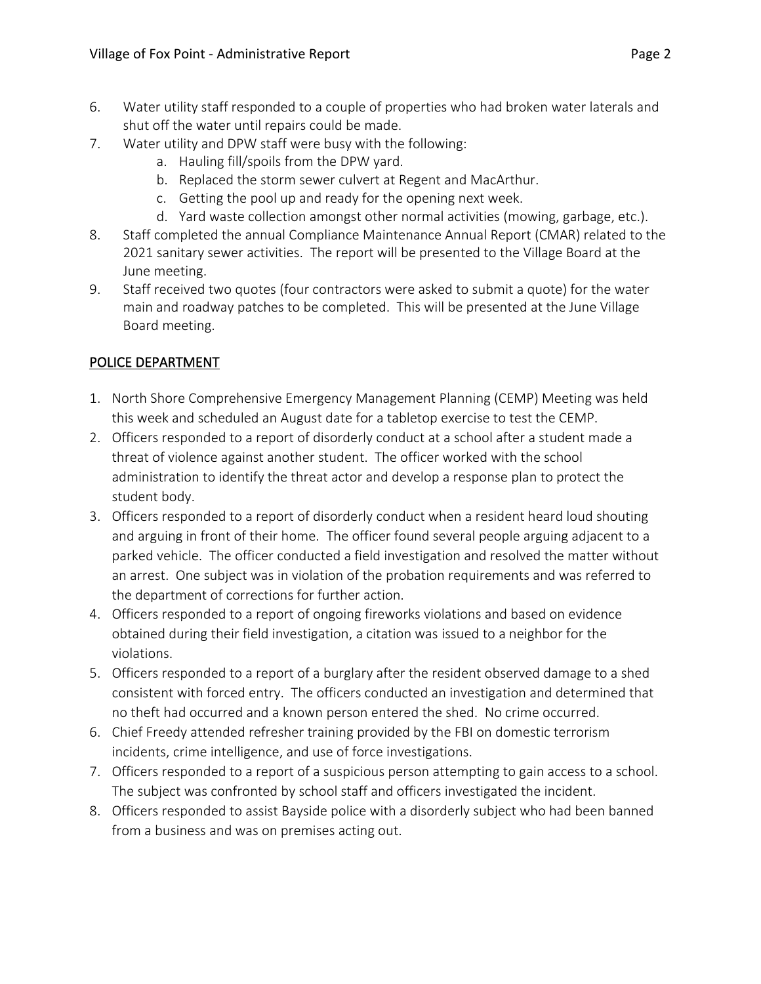- 6. Water utility staff responded to a couple of properties who had broken water laterals and shut off the water until repairs could be made.
- 7. Water utility and DPW staff were busy with the following:
	- a. Hauling fill/spoils from the DPW yard.
	- b. Replaced the storm sewer culvert at Regent and MacArthur.
	- c. Getting the pool up and ready for the opening next week.
	- d. Yard waste collection amongst other normal activities (mowing, garbage, etc.).
- 8. Staff completed the annual Compliance Maintenance Annual Report (CMAR) related to the 2021 sanitary sewer activities. The report will be presented to the Village Board at the June meeting.
- 9. Staff received two quotes (four contractors were asked to submit a quote) for the water main and roadway patches to be completed. This will be presented at the June Village Board meeting.

# POLICE DEPARTMENT

- 1. North Shore Comprehensive Emergency Management Planning (CEMP) Meeting was held this week and scheduled an August date for a tabletop exercise to test the CEMP.
- 2. Officers responded to a report of disorderly conduct at a school after a student made a threat of violence against another student. The officer worked with the school administration to identify the threat actor and develop a response plan to protect the student body.
- 3. Officers responded to a report of disorderly conduct when a resident heard loud shouting and arguing in front of their home. The officer found several people arguing adjacent to a parked vehicle. The officer conducted a field investigation and resolved the matter without an arrest. One subject was in violation of the probation requirements and was referred to the department of corrections for further action.
- 4. Officers responded to a report of ongoing fireworks violations and based on evidence obtained during their field investigation, a citation was issued to a neighbor for the violations.
- 5. Officers responded to a report of a burglary after the resident observed damage to a shed consistent with forced entry. The officers conducted an investigation and determined that no theft had occurred and a known person entered the shed. No crime occurred.
- 6. Chief Freedy attended refresher training provided by the FBI on domestic terrorism incidents, crime intelligence, and use of force investigations.
- 7. Officers responded to a report of a suspicious person attempting to gain access to a school. The subject was confronted by school staff and officers investigated the incident.
- 8. Officers responded to assist Bayside police with a disorderly subject who had been banned from a business and was on premises acting out.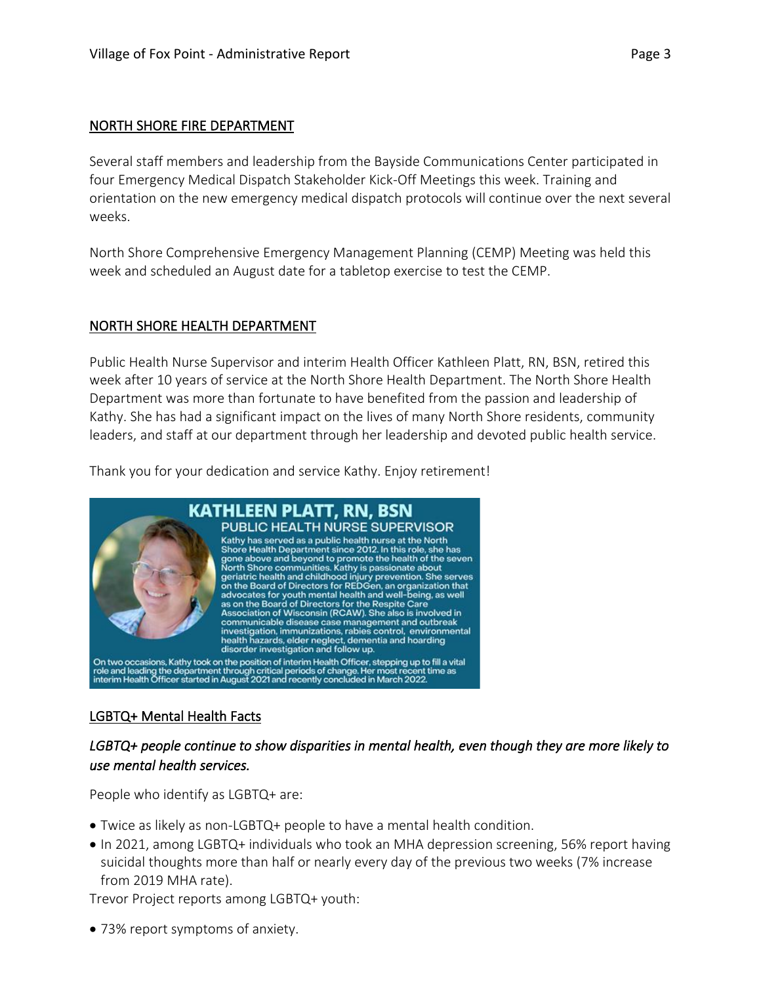#### NORTH SHORE FIRE DEPARTMENT

Several staff members and leadership from the Bayside Communications Center participated in four Emergency Medical Dispatch Stakeholder Kick-Off Meetings this week. Training and orientation on the new emergency medical dispatch protocols will continue over the next several weeks.

North Shore Comprehensive Emergency Management Planning (CEMP) Meeting was held this week and scheduled an August date for a tabletop exercise to test the CEMP.

#### NORTH SHORE HEALTH DEPARTMENT

Public Health Nurse Supervisor and interim Health Officer Kathleen Platt, RN, BSN, retired this week after 10 years of service at the North Shore Health Department. The North Shore Health Department was more than fortunate to have benefited from the passion and leadership of Kathy. She has had a significant impact on the lives of many North Shore residents, community leaders, and staff at our department through her leadership and devoted public health service.

Thank you for your dedication and service Kathy. Enjoy retirement!



#### LGBTQ+ Mental Health Facts

## *LGBTQ+ people continue to show disparities in mental health, even though they are more likely to use mental health services.*

People who identify as LGBTQ+ are:

- Twice as likely as non-LGBTQ+ people to have a mental health condition.
- In 2021, among LGBTQ+ individuals who took an MHA depression screening, 56% report having suicidal thoughts more than half or nearly every day of the previous two weeks (7% increase from 2019 MHA rate).

Trevor Project reports among LGBTQ+ youth:

• 73% report symptoms of anxiety.